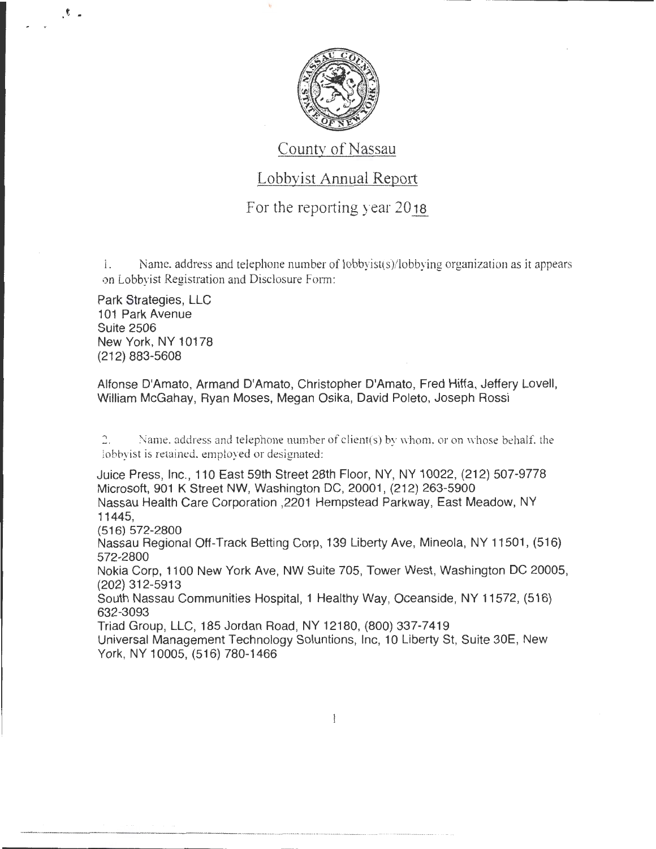

#### County of Nassau

#### Lobbyist Annual Report

For the reporting year  $2018$ 

1. Name, address and telephone number of lobbyist(s)/lobbying organization as it appears on Lobbvist Registration and Disclosure Form:

Park Strategies, LLC 101 Park Avenue Suite 2506 New York, NY 10178 (212) 883-5608

*t* •

Alfonse D'Amato, Armand D'Amato, Christopher D'Amato, Fred Hiffa, Jeffery Lovell, William McGahay, Ryan Moses, Megan Osika, David Poleto, Joseph Rossi

2. Name, address and telephone number of client(s) by whom, or on whose behalf, the lobbyist is retained. employed or designated:

Juice Press, Inc., 110 East 59th Street 28th Floor, NY, NY 10022, (212) 507-9778 Microsoft, 901 K Street NW, Washington DC, 20001 , (212) 263-5900 Nassau Health Care Corporation ,2201 Hempstead Parkway, East Meadow, NY 11445,

(516) 572-2800

Nassau Regional Off-Track Betting Corp, 139 Liberty Ave, Mineola, NY 11501 , (516) 572-2800

Nokia Corp, 1100 New York Ave, NW Suite 705, Tower West, Washington DC 20005, (202) 312-5913

South Nassau Communities Hospital, 1 Healthy Way, Oceanside, NY 11572, (516) 632-3093

Triad Group, LLC, 185 Jordan Road, NY 12180, (800) 337-7419

Universal Management Technology Soluntions, Inc, 10 Liberty St, Suite 30E, New York, NY 10005, (516) 780-1466

 $\mathbf{1}$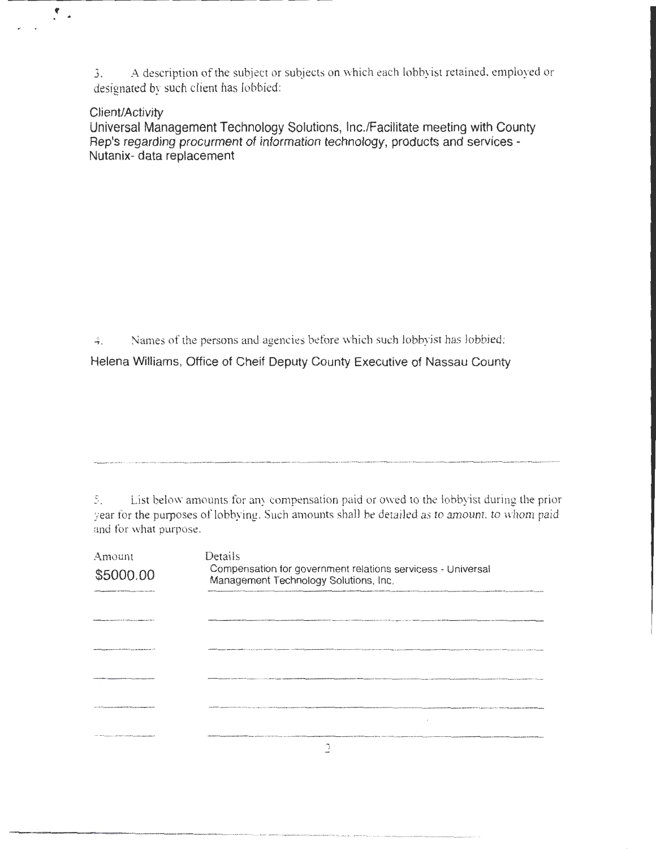3. A description of the subject or subjects on which each lobbyist retained, employed or designated by such client has lobbied:

#### Client/Activity

f

Universal Management Technology Solutions, Inc./Facilitate meeting with County Rep's regarding procurment of information technology, products and services-Nutanix- data replacement

4. Names of the persons and agencies before which such lobbyist has lobbied:

Helena Williams, Office of Cheif Deputy County Executive of Nassau County

S. List below amounts for any compensation paid or owed to the lobbyist during the prior year for the purposes of lobbying. Such amounts shall be detailed as to amount, to whom paid and for what purpose.

| Amount<br>\$5000.00<br><b>NORTHERN AND CARD TO AN A REPORT OF A STATE OF A STATE OF A STATE OF A STATE OF A STATE OF A STATE OF A STATE OF A STATE OF A STATE OF A STATE OF A STATE OF A STATE OF A STATE OF A STATE OF A STATE OF A STATE OF A STATE O</b> | Details<br>Compensation for government relations servicess - Universal<br>Management Technology Solutions, Inc. |  |
|-------------------------------------------------------------------------------------------------------------------------------------------------------------------------------------------------------------------------------------------------------------|-----------------------------------------------------------------------------------------------------------------|--|
| <b>NEW COMMONSTANCE IN THE SAME REPAIRING THE STATE</b>                                                                                                                                                                                                     |                                                                                                                 |  |
|                                                                                                                                                                                                                                                             |                                                                                                                 |  |
| _________________________________                                                                                                                                                                                                                           |                                                                                                                 |  |
| <b>CORRADO ACOMPANYING IN INCANNIANO</b>                                                                                                                                                                                                                    |                                                                                                                 |  |
| <b>CONTRACTOR COMMUNICATION</b>                                                                                                                                                                                                                             |                                                                                                                 |  |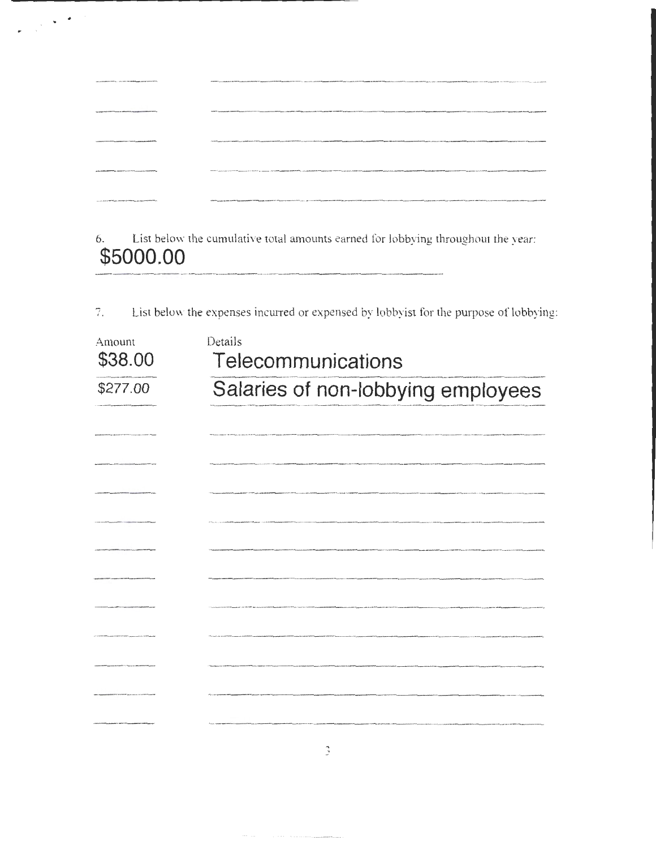| ARABAMAN MARITA - Month 128 Millened Editor Arms Mod-                                                       | PERIOD CONTROLLED AND CONSULTATION OF TRANSPORTED AND CONSULTATION OF THE OWNER OF THE OWNER OF THE OWNER OF THE CONSULTATION OF THE CONSULTATION OF THE CONSULTATION OF THE CONSULTATION OF THE CONSULTATION OF THE CONSULTAT |
|-------------------------------------------------------------------------------------------------------------|--------------------------------------------------------------------------------------------------------------------------------------------------------------------------------------------------------------------------------|
| The straight congression in this state of the first state of the first sign and an exhibition of entered in | THE COMPOSITE CONTRACT OF CONTRACT CONTRACT OF CONTRACT OR ANYWHERE CONTRACT OF CONTRACT OF CONTRACT OF CONTRACT OF CONTRACT OF CONTRACT OR CONTRACT OF CONTRACT OF CONTRACT OF CONTRACT OF CONTRACT OF CONTRACT OF CONTRACT O |
| THE REAL PROPERTY AND RESIDENT THAT A CHARACTERY AND ARRANGEMENT                                            | The figure was an analyzed and a series of the company of the series of the series of the series and a series and a series and a series of the series of the series of the series and a series of the series of the series and |
| A R. P. LEWIS CO., LANSING MICH. 49-14039-1-120-2                                                           | The first contract of the contract of the contract of the contract of the first contract of the contract of the first of the first contract of the contract of the contract of the contract of the contract of the contract of |
| THE USA SERVER PROTECTIVE AT THE RESIDENCE OF THE RESIDENCE OF THE ASSESSED FOR THE REAL PROPERTY.          | Vibio companies and a series of the companies of the companies and a series and a series and the companies of the companies of the contract the contract in the contract of the companies of the companies of the companies of |

 $\label{eq:2} \frac{1}{\sqrt{2}}\left(\frac{1}{\sqrt{2}}\right)^2\frac{1}{\sqrt{2}}\left(\frac{1}{\sqrt{2}}\right)^2.$ 

6. List below the cumulative total amounts earned for lobbying throughout the year: **\$5000.00** 

7. List below the expenses incurred or expensed by lobbyist for the purpose of lobbying:

| Amount   | Details                            |  |  |
|----------|------------------------------------|--|--|
| \$38.00  | Telecommunications                 |  |  |
| \$277.00 | Salaries of non-lobbying employees |  |  |
|          |                                    |  |  |
|          |                                    |  |  |
|          |                                    |  |  |
|          |                                    |  |  |
|          |                                    |  |  |
|          |                                    |  |  |
|          |                                    |  |  |
|          |                                    |  |  |
|          |                                    |  |  |
|          |                                    |  |  |
|          |                                    |  |  |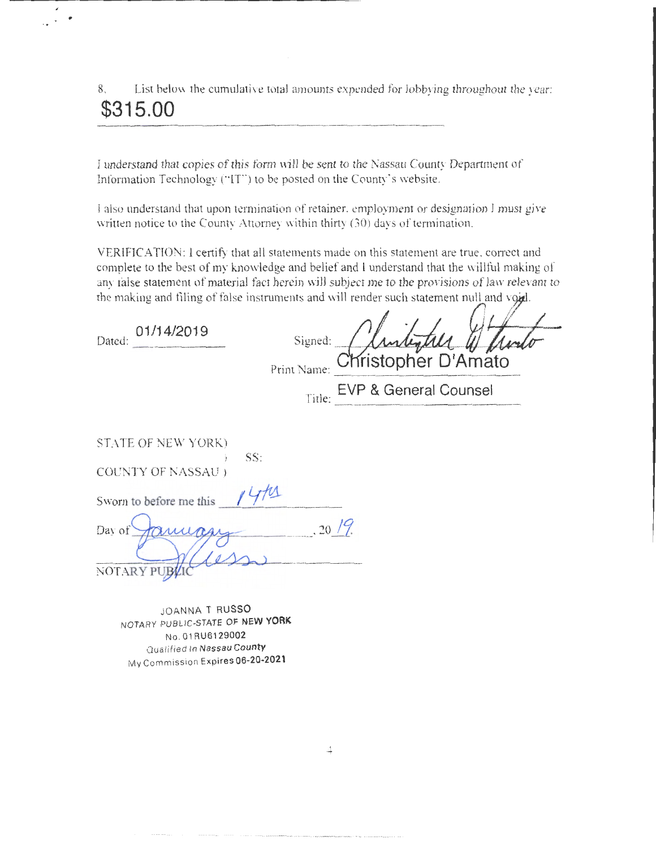8. List below the cumulative total amounts expended for lobbying throughout the year: **\$315.00** 

I understand that copies of this form will be sent to the Nassau County Department of Information Technology ("IT") to be posted on the County's website.

I also understand that upon termination of retainer, employment or designation I must give written notice to the County Attorney within thirty (30) days of termination.

VERIFICATION: 1 certify that all statements made on this statement are true, correct and complete to the best of my knowledge and belief and I understand that the willful making of any false statement of material fact herein will subject me to the provisions of law relevant to the making and filing of false instruments and will render such statement null and void.

 $\mathscr{N}$ 

and the state of

 $\overline{1}$ 

| 01/14/2019<br>Dated:      | Signed:<br><i>(Junkylll W flod</i><br>Christopher D'Amato<br>Print Name: |
|---------------------------|--------------------------------------------------------------------------|
|                           | EVP & General Counsel<br>Title:                                          |
| STATE OF NEW YORK)        |                                                                          |
| SS:<br>COUNTY OF NASSAU ) |                                                                          |
| Sworn to before me this   |                                                                          |
| Day of                    | $.20\frac{19}{1}$                                                        |
| NOTARY PUB                |                                                                          |

JOANNA T **RUSSO**  NOTARY PUBLIC-STATE OF **NEW YORK**  No . 01 RU61 29002 Qualified In Na ssau **County**  My Commission Expires **06-20-2021** 

4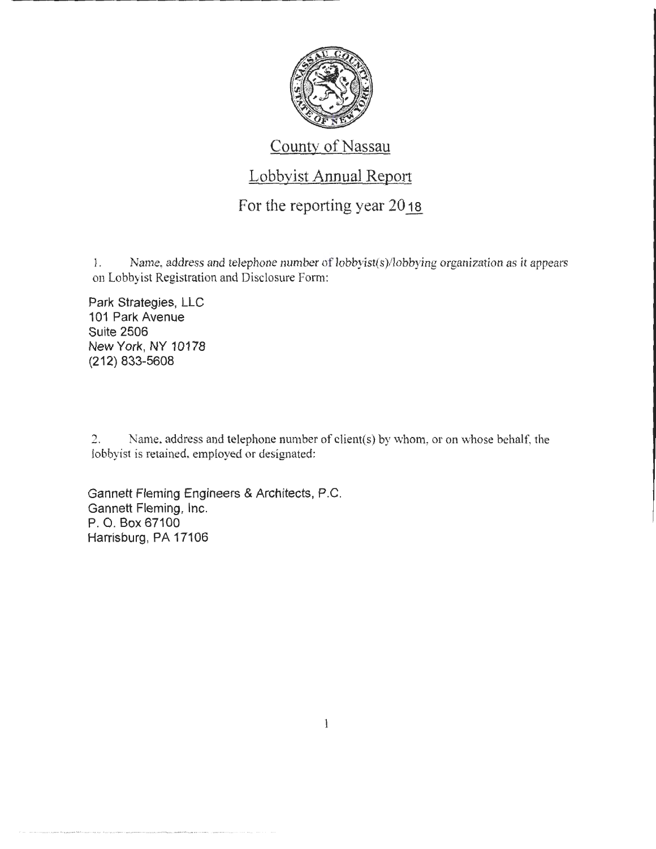

#### County of Nassau

## Lobbyist Annual Report

#### For the reporting year  $2018$

1. Name, address and telephone number of lobbyist(s)/lobbying organization as it appears on Lobbyist Registration and Disclosure Form:

Park Strategies, LLC 101 Park Avenue Suite 2506 New York, NY 10178 (212) 833-5608

2. Name. address and telephone number of client(s) by whom, or on whose behalf, the lobbyist is retained, employed or designated:

Gannett Fleming Engineers & Architects, P.C. Gannett Fleming, Inc. P. 0. Box 67100 Harrisburg, PA 17106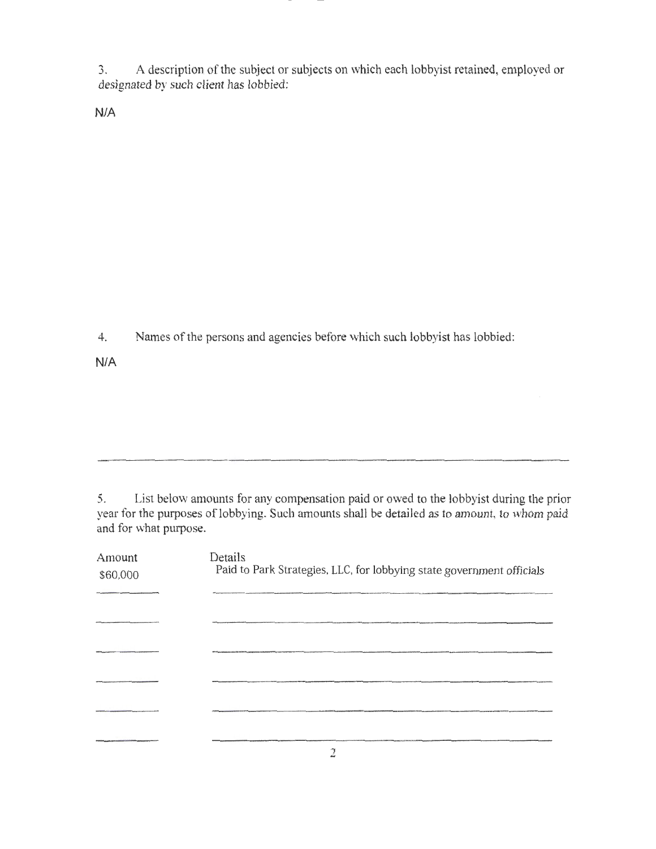3. A description of the subject or subjects on which each lobbyist retained, employed or designated by such client has lobbied:

N/A

4. Names of the persons and agencies before which such lobbyist has lobbied:

N/A

5. List below amounts for any compensation paid or owed to the lobbyist during the prior year for the purposes of lobbying. Such amounts shall be detailed as to amount, to whom paid and for what purpose.

| Amount<br>\$60,000 | Details<br>Paid to Park Strategies, LLC, for lobbying state government officials |
|--------------------|----------------------------------------------------------------------------------|
|                    |                                                                                  |
|                    |                                                                                  |
|                    |                                                                                  |
|                    |                                                                                  |
|                    |                                                                                  |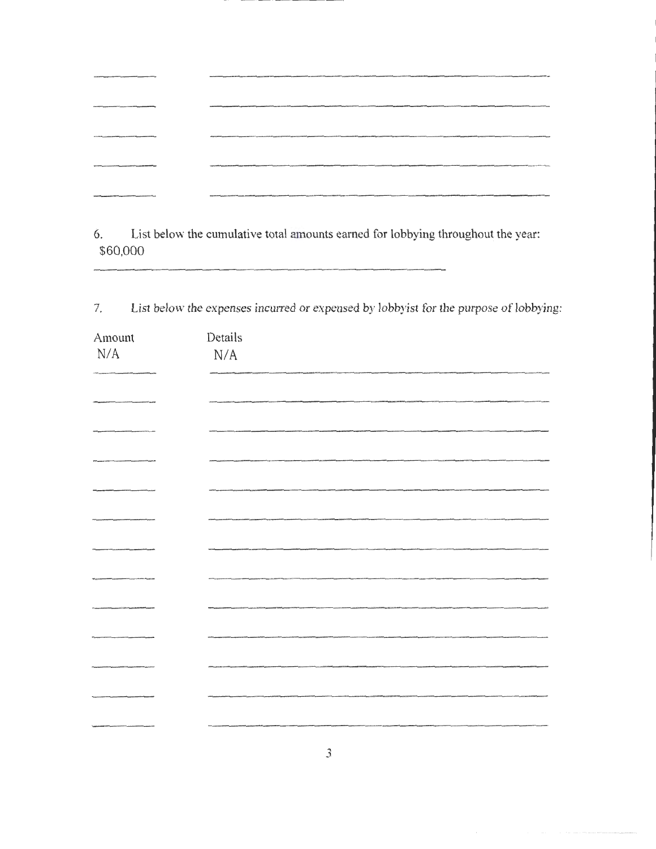|                                                       | digmassa mentallises in a status sendimental particular and particular property interest and a status of the content and a status of the content of the content of the content of the content of the content of the content of |
|-------------------------------------------------------|--------------------------------------------------------------------------------------------------------------------------------------------------------------------------------------------------------------------------------|
|                                                       |                                                                                                                                                                                                                                |
| www.communications.com/communications/communications/ |                                                                                                                                                                                                                                |

6. List below the cumulative total amounts earned for lobbying throughout the year: \$60,000

7. List below the expenses incurred or expensed by lobbyist for the purpose of lobbying:

| Amount    | Details   |
|-----------|-----------|
| $\rm N/A$ | $\rm N/A$ |
|           |           |
|           |           |
|           |           |
|           |           |
|           |           |
|           |           |
|           |           |
|           |           |
|           |           |
|           |           |
|           |           |
|           |           |
|           |           |
|           |           |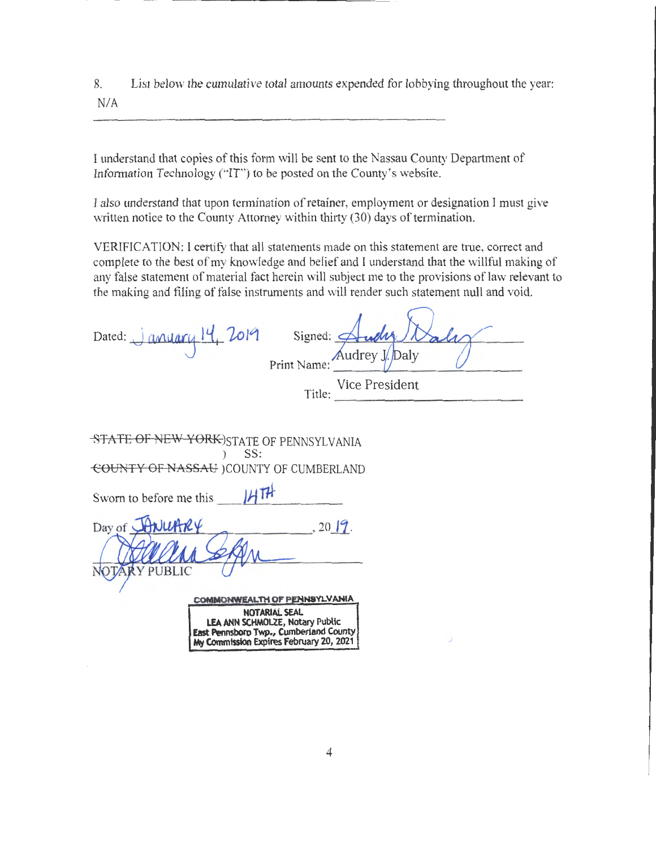8. List below the cumulative total amounts expended for lobbying throughout the year: N/A

I understand that copies of this form will be sent to the Nassau County Department of Infonnation Technology ("IT') to be posted on the County's website.

I also understand that upon termination of retainer, employment or designation I must give written notice to the County Attorney within thirty (30) days of termination.

VERIFICATION: l certify that all statements made on this statement are true, correct and complete to the best of my knowledge and belief and I understand that the willful making of any false statement of material fact herein will subject me to the provisions of law relevant to the making and filing of false instruments and will render such statement null and void.

| Dated: $J$ anyony $14, 2019$<br>Signed:<br>Audrey J. Daly<br>Print Name:<br>Title: Vice President |
|---------------------------------------------------------------------------------------------------|
|                                                                                                   |
| STATE OF NEW YORK) STATE OF PENNSYLVANIA<br>SS:                                                   |
| COUNTY OF NASSAU (COUNTY OF CUMBERLAND                                                            |
| 14TH<br>Sworn to before me this                                                                   |
| Day of HNUARY<br>, 2019.                                                                          |
| <b>RY PUBLIC</b>                                                                                  |
| COMMONWEALTH OF PENNSYLVANIA                                                                      |
| NOTARIAL SEAL<br>LEA ANN SCHMOLZE, Notary Public<br>East Pennsboro Twp., Cumberland County        |

**My COmmission Expires February 20, 2021**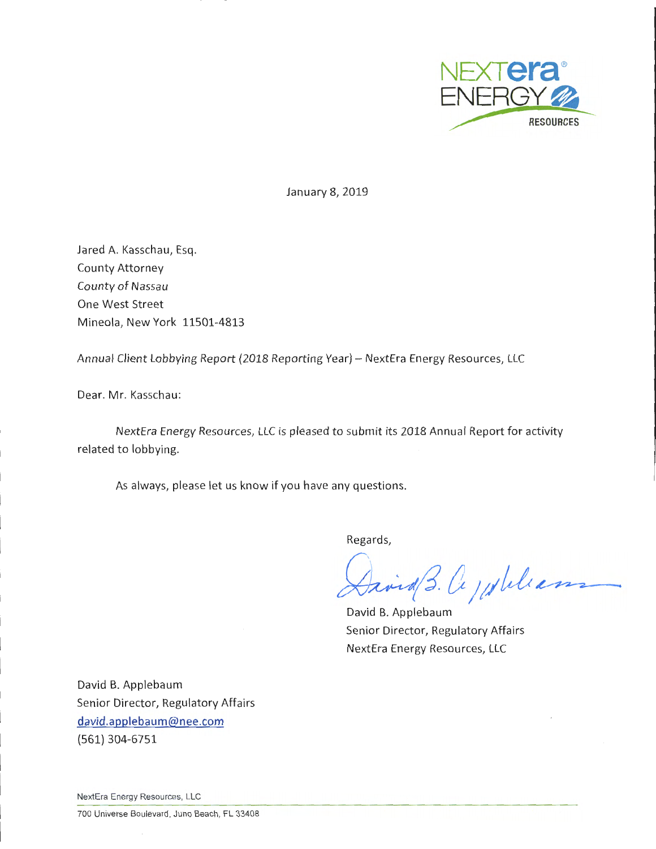

January 8, 2019

Jared A. Kasschau, Esq. County Attorney County of Nassau One West Street Mineola, New York 11501-4813

Annual Client Lobbying Report {2018 Reporting Year)- NextEra Energy Resources, LLC

Dear. Mr. Kasschau:

NextEra Energy Resources, LLC is pleased to submit its 2018 Annual Report for activity related to lobbying.

As always, please let us know if you have any questions.

Regards,

Faire 3. Ce julilians

David B. Applebaum Senior Director, Regulatory Affairs NextEra Energy Resources, LLC

David B. Applebaum Senior Director, Regulatory Affairs david.applebaum@nee.com {561) 304-6751

NextEra Energy Resources, LLC

700 Universe Boulevard, Juno Beach , FL 33408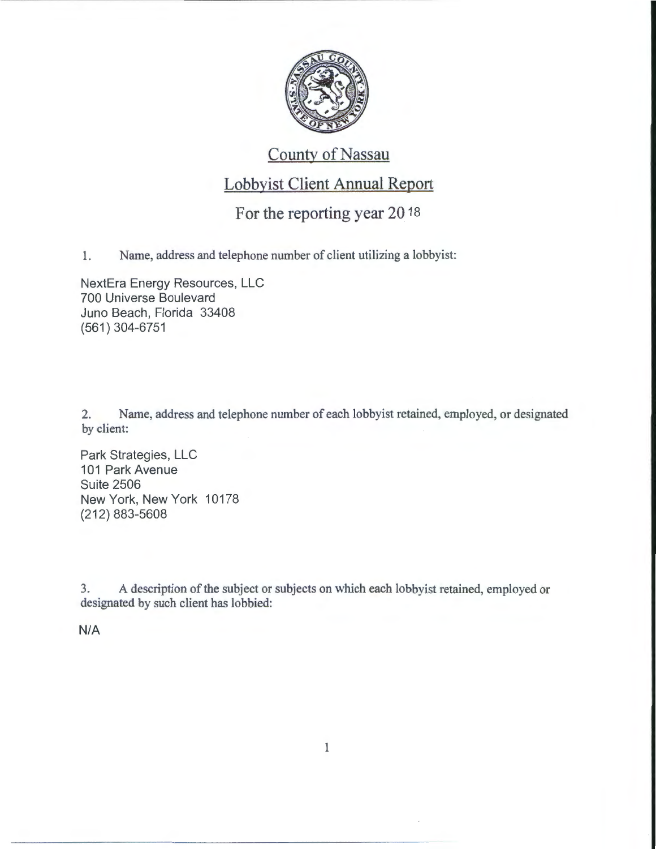

# County of Nassau

## Lobbyist Client Annual Report

## For the reporting year 2018

1. Name, address and telephone number of client utilizing a lobbyist:

NextEra Energy Resources, LLC 700 Universe Boulevard Juno Beach, Florida 33408 (561) 304-6751

2. Name, address and telephone number of each lobbyist retained, employed, or designated by client:

Park Strategies, LLC 101 Park Avenue Suite 2506 New York, New York 10178 (212) 883-5608

3. A description of the subject or subjects on which each lobbyist retained, employed or designated by such client has lobbied:

N/A

1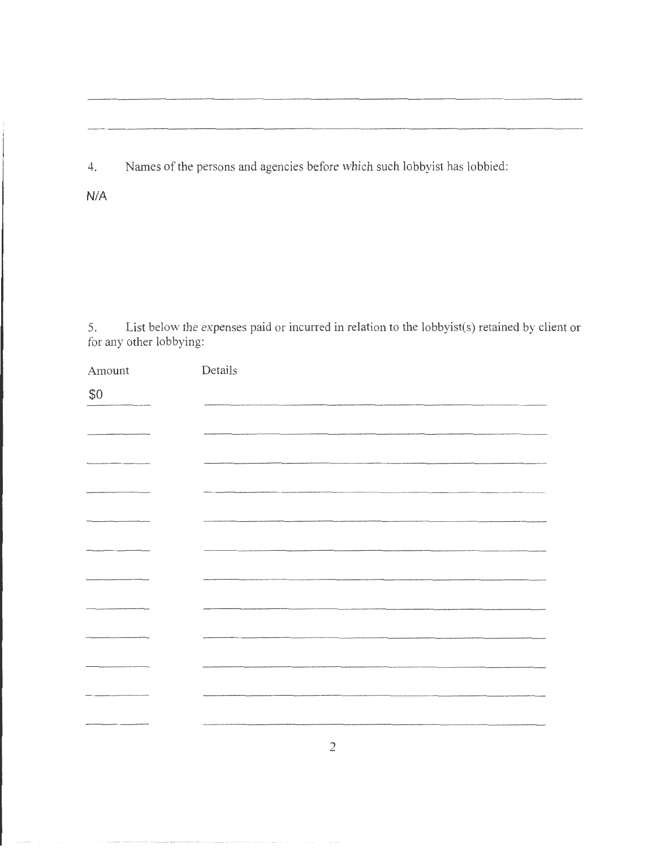4. Names of the persons and agencies before which such lobbyist has lobbied:

N/A

5. List below the expenses paid or incuned in relation to the lobbyist(s) retained by client or for any other lobbying:

| Amount | Details        |
|--------|----------------|
| \$0    |                |
|        |                |
|        |                |
|        |                |
|        |                |
|        |                |
|        |                |
|        |                |
|        |                |
|        |                |
|        |                |
|        |                |
|        | $\overline{2}$ |